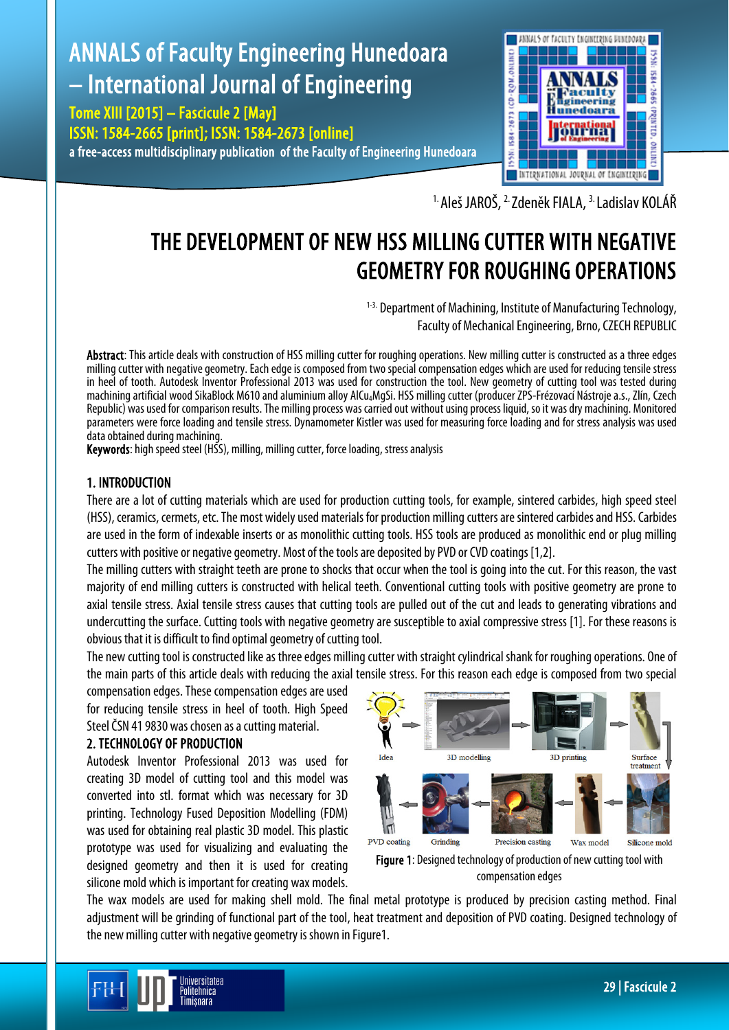# ANNALS of Faculty Engineering Hunedoara – International Journal of Engineering

Tome XIII [2015] – Fascicule 2 [May] ISSN: 1584-2665 [print]; ISSN: 1584-2673 [online] a free-access multidisciplinary publication of the Faculty of Engineering Hunedoara



<sup>1.</sup> Aleš JAROŠ, <sup>2.</sup> Zdeněk FIALA, <sup>3.</sup> Ladislav KOLÁŘ

# THE DEVELOPMENT OF NEW HSS MILLING CUTTER WITH NEGATIVE GEOMETRY FOR ROUGHING OPERATIONS

<sup>1-3.</sup> Department of Machining, Institute of Manufacturing Technology, Faculty of Mechanical Engineering, Brno, CZECH REPUBLIC

Abstract: This article deals with construction of HSS milling cutter for roughing operations. New milling cutter is constructed as a three edges milling cutter with negative geometry. Each edge is composed from two special compensation edges which are used for reducing tensile stress in heel of tooth. Autodesk Inventor Professional 2013 was used for construction the tool. New geometry of cutting tool was tested during machining artificial wood SikaBlock M610 and aluminium alloy AlCu4MgSi. HSS milling cutter (producer ZPS-Frézovací Nástroje a.s., Zlín, Czech Republic) was used for comparison results. The milling process was carried out without using process liquid, so it was dry machining. Monitored parameters were force loading and tensile stress. Dynamometer Kistler was used for measuring force loading and for stress analysis was used data obtained during machining.

Keywords: high speed steel (HSS), milling, milling cutter, force loading, stress analysis

# 1. INTRODUCTION

There are a lot of cutting materials which are used for production cutting tools, for example, sintered carbides, high speed steel (HSS), ceramics, cermets, etc. The most widely used materials for production milling cutters are sintered carbides and HSS. Carbides are used in the form of indexable inserts or as monolithic cutting tools. HSS tools are produced as monolithic end or plug milling cutters with positive or negative geometry. Most of the tools are deposited by PVD or CVD coatings [1,2].

The milling cutters with straight teeth are prone to shocks that occur when the tool is going into the cut. For this reason, the vast majority of end milling cutters is constructed with helical teeth. Conventional cutting tools with positive geometry are prone to axial tensile stress. Axial tensile stress causes that cutting tools are pulled out of the cut and leads to generating vibrations and undercutting the surface. Cutting tools with negative geometry are susceptible to axial compressive stress [1]. For these reasons is obvious that it is difficult to find optimal geometry of cutting tool.

The new cutting tool is constructed like as three edges milling cutter with straight cylindrical shank for roughing operations. One of the main parts of this article deals with reducing the axial tensile stress. For this reason each edge is composed from two special

compensation edges. These compensation edges are used for reducing tensile stress in heel of tooth. High Speed Steel ČSN 41 9830 was chosen as a cutting material.

# 2. TECHNOLOGY OF PRODUCTION

Autodesk Inventor Professional 2013 was used for creating 3D model of cutting tool and this model was converted into stl. format which was necessary for 3D printing. Technology Fused Deposition Modelling (FDM) was used for obtaining real plastic 3D model. This plastic prototype was used for visualizing and evaluating the designed geometry and then it is used for creating silicone mold which is important for creating wax models.



Figure 1: Designed technology of production of new cutting tool with compensation edges

The wax models are used for making shell mold. The final metal prototype is produced by precision casting method. Final adjustment will be grinding of functional part of the tool, heat treatment and deposition of PVD coating. Designed technology of the new milling cutter with negative geometry is shown in Figure1.

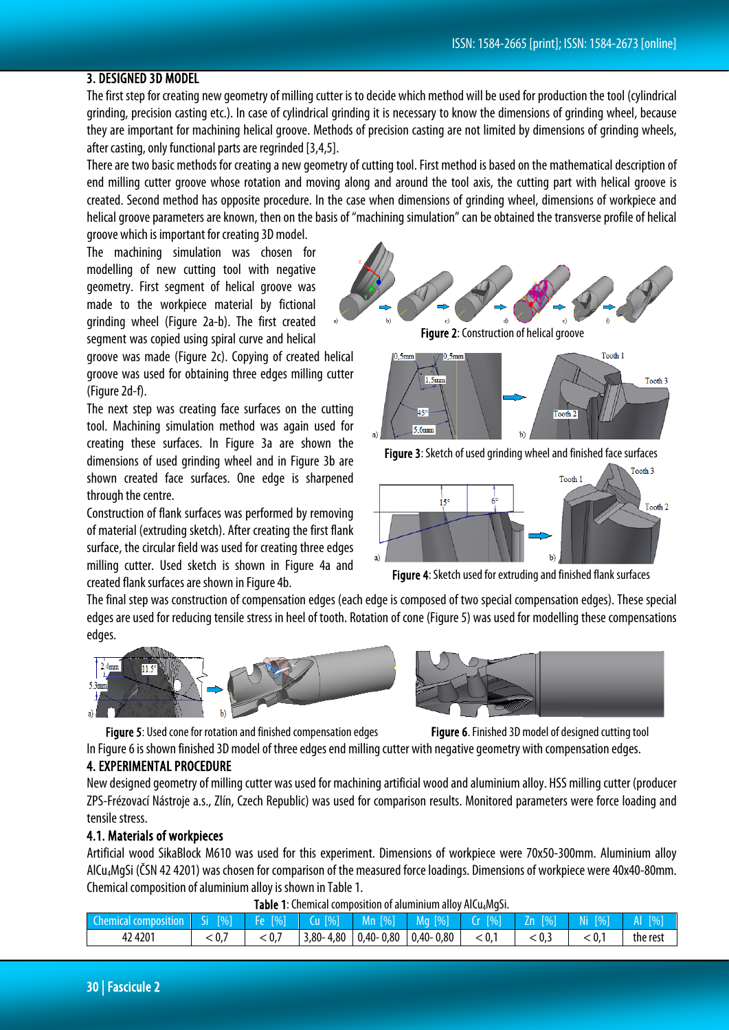# 3. DESIGNED 3D MODEL

The first step for creating new geometry of milling cutter is to decide which method will be used for production the tool (cylindrical grinding, precision casting etc.). In case of cylindrical grinding it is necessary to know the dimensions of grinding wheel, because they are important for machining helical groove. Methods of precision casting are not limited by dimensions of grinding wheels, after casting, only functional parts are regrinded [3,4,5].

There are two basic methods for creating a new geometry of cutting tool. First method is based on the mathematical description of end milling cutter groove whose rotation and moving along and around the tool axis, the cutting part with helical groove is created. Second method has opposite procedure. In the case when dimensions of grinding wheel, dimensions of workpiece and helical groove parameters are known, then on the basis of "machining simulation" can be obtained the transverse profile of helical groove which is important for creating 3D model.

The machining simulation was chosen for modelling of new cutting tool with negative geometry. First segment of helical groove was made to the workpiece material by fictional grinding wheel (Figure 2a-b). The first created segment was copied using spiral curve and helical

groove was made (Figure 2c). Copying of created helical groove was used for obtaining three edges milling cutter (Figure 2d-f).

The next step was creating face surfaces on the cutting tool. Machining simulation method was again used for creating these surfaces. In Figure 3a are shown the dimensions of used grinding wheel and in Figure 3b are shown created face surfaces. One edge is sharpened through the centre.

Construction of flank surfaces was performed by removing of material (extruding sketch). After creating the first flank surface, the circular field was used for creating three edges milling cutter. Used sketch is shown in Figure 4a and created flank surfaces are shown in Figure 4b.

Figure 2: Construction of helical groove



Figure 3: Sketch of used grinding wheel and finished face surfaces



Figure 4: Sketch used for extruding and finished flank surfaces

The final step was construction of compensation edges (each edge is composed of two special compensation edges). These special edges are used for reducing tensile stress in heel of tooth. Rotation of cone (Figure5) was used for modelling these compensations edges.



Figure 5: Used cone for rotation and finished compensation edges Figure 6. Finished 3D model of designed cutting tool

In Figure 6 is shown finished 3D model of three edges end milling cutter with negative geometry with compensation edges.

#### 4. EXPERIMENTAL PROCEDURE

New designed geometry of milling cutter was used for machining artificial woodand aluminium alloy. HSS milling cutter (producer ZPS-Frézovací Nástroje a.s., Zlín, Czech Republic) was used for comparison results. Monitored parameters were force loading and tensile stress.

### 4.1. Materials of workpieces

Artificial wood SikaBlock M610 was used for this experiment. Dimensions of workpiece were 70x50-300mm. Aluminium alloy AlCu4MgSi (ČSN 42 4201) was chosen for comparison of the measured force loadings. Dimensions of workpiece were 40x40-80mm. Chemical composition of aluminium alloy is shown in Table 1.

| Table 1: Chemical composition of aluminium alloy AlCu <sub>4</sub> MgSi. |  |
|--------------------------------------------------------------------------|--|
|                                                                          |  |

| Chemical composition Si [%] |     | $F$ Fe $[\%]$ | $Cu$ [%] | $Mn$ [%]                              | N Ma [%] \ | $\lfloor$ Cr $\lfloor$ % $\rfloor$ | $Zn$ [%] | [%]<br>NI. | $\sqrt{9}$ |
|-----------------------------|-----|---------------|----------|---------------------------------------|------------|------------------------------------|----------|------------|------------|
| 42 4 201                    | 0.5 | ∶0.,          |          | $3,80 - 4,80$ 0.40 - 0.80 0.40 - 0.80 |            | < 0.1                              | 0.3      | -0.,       | the rest   |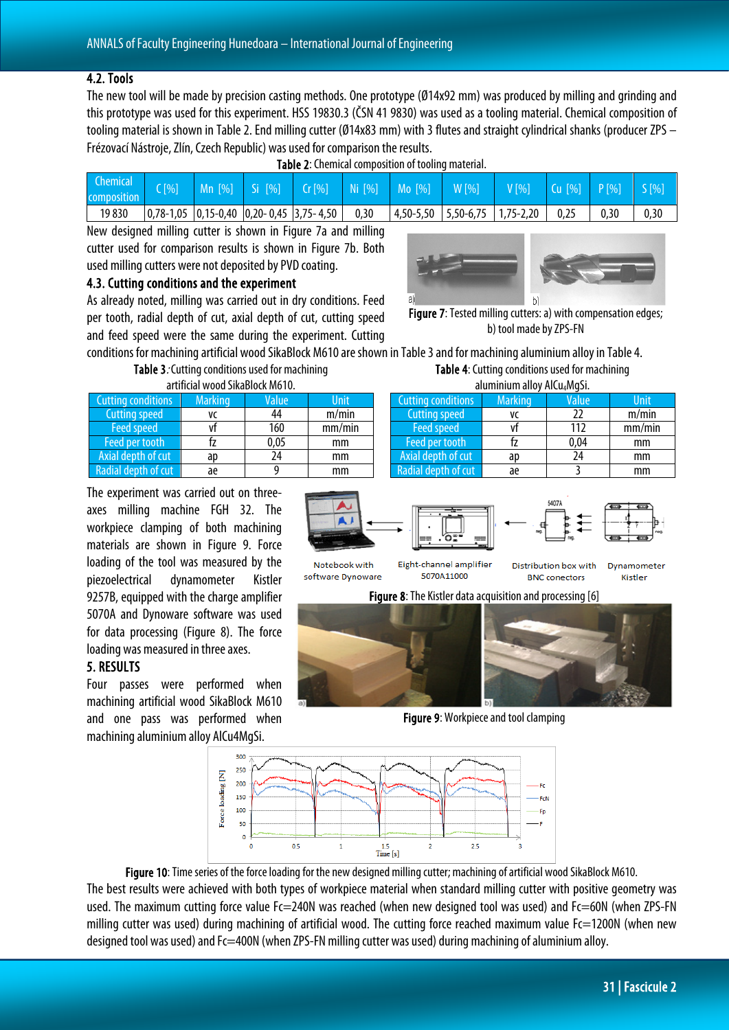#### 4.2. Tools

The new tool will be made by precision casting methods. One prototype (Ø14x92 mm) was produced by milling and grinding and this prototype was used for this experiment. HSS 19830.3 (ČSN 41 9830) was used as a tooling material. Chemical composition of tooling material is shown in Table 2. End milling cutter (Ø14x83 mm) with 3 flutes and straight cylindrical shanks (producer ZPS – Frézovací Nástroje, Zlín, Czech Republic) was used for comparison the results.

| <b>Table 2:</b> Chemical composition of tooling material. |  |  |  |                                                                         |      |  |                                                   |                        |      |  |
|-----------------------------------------------------------|--|--|--|-------------------------------------------------------------------------|------|--|---------------------------------------------------|------------------------|------|--|
| <b>Chemical</b><br>composition                            |  |  |  |                                                                         |      |  | C[%] Mn [%] Si [%] Cr[%] Ni [%] Mo [%] W [%] V[%] | $Cu [%]$ $P[%]$ $S[%]$ |      |  |
| 19830                                                     |  |  |  | $\vert 0.78-1.05 \vert 0.15-0.40 \vert 0.20-0.45 \vert 3.75-4.50 \vert$ | 0,30 |  | $\vert$ 4,50-5,50   5,50-6,75   1,75-2,20         | 0,25                   | 0.30 |  |

New designed milling cutter is shown in Figure 7a and milling cutter used for comparison results is shown in Figure 7b. Both used milling cutters were not deposited by PVD coating.

## 4.3. Cutting conditions and the experiment

As already noted, milling was carried out in dry conditions. Feed per tooth, radial depth of cut, axial depth of cut, cutting speed and feed speed were the same during the experiment. Cutting



Figure 7: Tested milling cutters: a) with compensation edges; b) tool made by ZPS-FN

conditions for machining artificial wood SikaBlock M610 are shown in Table 3 and for machining aluminium alloy in Table 4.

|  | Table 3. Cutting conditions used for machining |  |
|--|------------------------------------------------|--|
|  | artificial wood SikaBlock M610.                |  |
|  |                                                |  |

| <b>Cutting conditions</b> | <b>Marking</b> | Value | Unit   |
|---------------------------|----------------|-------|--------|
| <b>Cutting speed</b>      | VC             | 44    | m/min  |
| <b>Feed speed</b>         |                | 160   | mm/min |
| Feed per tooth            |                | 0,05  | mm     |
| Axial depth of cut        | ap             | 24    | mm     |
| Radial depth of cut       | ae             |       | mm     |

Table 4: Cutting conditions used for machining aluminium alloy AlCu4MgSi.

| diulililiulii dilvy Alcu4NyyJI. |                |       |             |  |  |  |
|---------------------------------|----------------|-------|-------------|--|--|--|
| <b>Cutting conditions</b>       | <b>Marking</b> | Value | <b>Unit</b> |  |  |  |
| <b>Cutting speed</b>            | ٧C             | 22    | m/min       |  |  |  |
| Feed speed                      |                | 112   | mm/min      |  |  |  |
| Feed per tooth                  |                | 0,04  | mm          |  |  |  |
| Axial depth of cut              | ap             | 74    | mm          |  |  |  |
| Radial depth of cut             | aе             |       | mm          |  |  |  |

The experiment was carried out on threeaxes milling machine FGH 32. The workpiece clamping of both machining materials are shown in Figure 9. Force loading of the tool was measured by the piezoelectrical dynamometer Kistler 9257B, equipped with the charge amplifier 5070A and Dynoware software was used for data processing (Figure 8). The force loading was measured in three axes.

#### 5. RESULTS

Four passes were performed when machining artificial wood SikaBlock M610 and one pass was performed when machining aluminium alloy AlCu4MgSi.









Figure 10: Time series of the force loading for the new designed milling cutter; machining of artificial wood SikaBlock M610. The best results were achieved with both types of workpiece material when standard milling cutter with positive geometry was used. The maximum cutting force value Fc=240N was reached (when new designed tool was used) and Fc=60N (when ZPS-FN milling cutter was used) during machining of artificial wood. The cutting force reached maximum value Fc=1200N (when new designed tool was used) and Fc=400N (when ZPS-FN milling cutter was used) during machining of aluminium alloy.